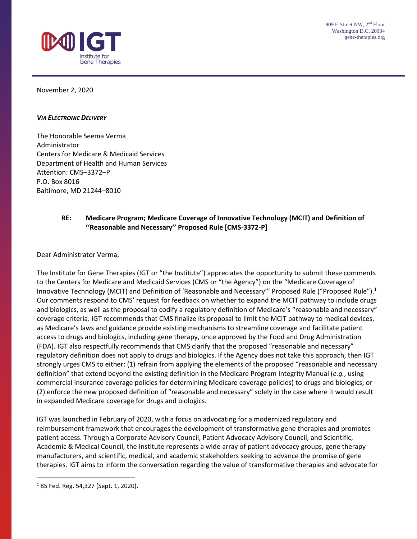

November 2, 2020

#### *VIA ELECTRONIC DELIVERY*

The Honorable Seema Verma Administrator Centers for Medicare & Medicaid Services Department of Health and Human Services Attention: CMS–3372–P P.O. Box 8016 Baltimore, MD 21244–8010

#### **RE: Medicare Program; Medicare Coverage of Innovative Technology (MCIT) and Definition of ''Reasonable and Necessary'' Proposed Rule [CMS-3372-P]**

Dear Administrator Verma,

The Institute for Gene Therapies (IGT or "the Institute") appreciates the opportunity to submit these comments to the Centers for Medicare and Medicaid Services (CMS or "the Agency") on the "Medicare Coverage of Innovative Technology (MCIT) and Definition of 'Reasonable and Necessary'" Proposed Rule ("Proposed Rule").<sup>1</sup> Our comments respond to CMS' request for feedback on whether to expand the MCIT pathway to include drugs and biologics, as well as the proposal to codify a regulatory definition of Medicare's "reasonable and necessary" coverage criteria. IGT recommends that CMS finalize its proposal to limit the MCIT pathway to medical devices, as Medicare's laws and guidance provide existing mechanisms to streamline coverage and facilitate patient access to drugs and biologics, including gene therapy, once approved by the Food and Drug Administration (FDA). IGT also respectfully recommends that CMS clarify that the proposed "reasonable and necessary" regulatory definition does not apply to drugs and biologics. If the Agency does not take this approach, then IGT strongly urges CMS to either: (1) refrain from applying the elements of the proposed "reasonable and necessary definition" that extend beyond the existing definition in the Medicare Program Integrity Manual (*e.g.*, using commercial insurance coverage policies for determining Medicare coverage policies) to drugs and biologics; or (2) enforce the new proposed definition of "reasonable and necessary" solely in the case where it would result in expanded Medicare coverage for drugs and biologics.

IGT was launched in February of 2020, with a focus on advocating for a modernized regulatory and reimbursement framework that encourages the development of transformative gene therapies and promotes patient access. Through a Corporate Advisory Council, Patient Advocacy Advisory Council, and Scientific, Academic & Medical Council, the Institute represents a wide array of patient advocacy groups, gene therapy manufacturers, and scientific, medical, and academic stakeholders seeking to advance the promise of gene therapies. IGT aims to inform the conversation regarding the value of transformative therapies and advocate for

<sup>1</sup> 85 Fed. Reg. 54,327 (Sept. 1, 2020).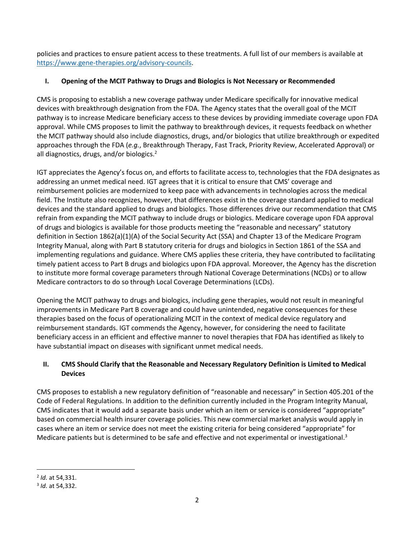policies and practices to ensure patient access to these treatments. A full list of our members is available at [https://www.gene-therapies.org/advisory-councils.](https://www.gene-therapies.org/advisory-councils)

# **I. Opening of the MCIT Pathway to Drugs and Biologics is Not Necessary or Recommended**

CMS is proposing to establish a new coverage pathway under Medicare specifically for innovative medical devices with breakthrough designation from the FDA. The Agency states that the overall goal of the MCIT pathway is to increase Medicare beneficiary access to these devices by providing immediate coverage upon FDA approval. While CMS proposes to limit the pathway to breakthrough devices, it requests feedback on whether the MCIT pathway should also include diagnostics, drugs, and/or biologics that utilize breakthrough or expedited approaches through the FDA (*e.g.*, Breakthrough Therapy, Fast Track, Priority Review, Accelerated Approval) or all diagnostics, drugs, and/or biologics. $<sup>2</sup>$ </sup>

IGT appreciates the Agency's focus on, and efforts to facilitate access to, technologies that the FDA designates as addressing an unmet medical need. IGT agrees that it is critical to ensure that CMS' coverage and reimbursement policies are modernized to keep pace with advancements in technologies across the medical field. The Institute also recognizes, however, that differences exist in the coverage standard applied to medical devices and the standard applied to drugs and biologics. Those differences drive our recommendation that CMS refrain from expanding the MCIT pathway to include drugs or biologics. Medicare coverage upon FDA approval of drugs and biologics is available for those products meeting the "reasonable and necessary" statutory definition in Section 1862(a)(1)(A) of the Social Security Act (SSA) and Chapter 13 of the Medicare Program Integrity Manual, along with Part B statutory criteria for drugs and biologics in Section 1861 of the SSA and implementing regulations and guidance. Where CMS applies these criteria, they have contributed to facilitating timely patient access to Part B drugs and biologics upon FDA approval. Moreover, the Agency has the discretion to institute more formal coverage parameters through National Coverage Determinations (NCDs) or to allow Medicare contractors to do so through Local Coverage Determinations (LCDs).

Opening the MCIT pathway to drugs and biologics, including gene therapies, would not result in meaningful improvements in Medicare Part B coverage and could have unintended, negative consequences for these therapies based on the focus of operationalizing MCIT in the context of medical device regulatory and reimbursement standards. IGT commends the Agency, however, for considering the need to facilitate beneficiary access in an efficient and effective manner to novel therapies that FDA has identified as likely to have substantial impact on diseases with significant unmet medical needs.

## **II. CMS Should Clarify that the Reasonable and Necessary Regulatory Definition is Limited to Medical Devices**

CMS proposes to establish a new regulatory definition of "reasonable and necessary" in Section 405.201 of the Code of Federal Regulations. In addition to the definition currently included in the Program Integrity Manual, CMS indicates that it would add a separate basis under which an item or service is considered "appropriate" based on commercial health insurer coverage policies. This new commercial market analysis would apply in cases where an item or service does not meet the existing criteria for being considered "appropriate" for Medicare patients but is determined to be safe and effective and not experimental or investigational.<sup>3</sup>

<sup>2</sup> *Id.* at 54,331.

<sup>3</sup> *Id.* at 54,332.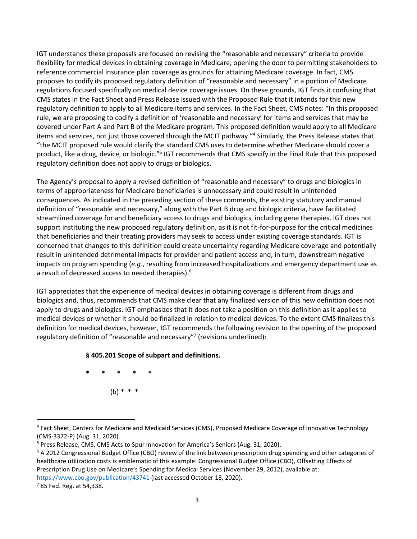IGT understands these proposals are focused on revising the "reasonable and necessary" criteria to provide flexibility for medical devices in obtaining coverage in Medicare, opening the door to permitting stakeholders to reference commercial insurance plan coverage as grounds for attaining Medicare coverage. In fact, CMS proposes to codify its proposed regulatory definition of "reasonable and necessary" in a portion of Medicare regulations focused specifically on medical device coverage issues. On these grounds, IGT finds it confusing that CMS states in the Fact Sheet and Press Release issued with the Proposed Rule that it intends for this new regulatory definition to apply to all Medicare items and services. In the Fact Sheet, CMS notes: "In this proposed rule, we are proposing to codify a definition of 'reasonable and necessary' for items and services that may be covered under Part A and Part B of the Medicare program. This proposed definition would apply to all Medicare items and services, not just those covered through the MCIT pathway."<sup>4</sup> Similarly, the Press Release states that "the MCIT proposed rule would clarify the standard CMS uses to determine whether Medicare should cover a product, like a drug, device, or biologic."<sup>5</sup> IGT recommends that CMS specify in the Final Rule that this proposed regulatory definition does not apply to drugs or biologics.

The Agency's proposal to apply a revised definition of "reasonable and necessary" to drugs and biologics in terms of appropriateness for Medicare beneficiaries is unnecessary and could result in unintended consequences. As indicated in the preceding section of these comments, the existing statutory and manual definition of "reasonable and necessary," along with the Part B drug and biologic criteria, have facilitated streamlined coverage for and beneficiary access to drugs and biologics, including gene therapies. IGT does not support instituting the new proposed regulatory definition, as it is not fit-for-purpose for the critical medicines that beneficiaries and their treating providers may seek to access under existing coverage standards. IGT is concerned that changes to this definition could create uncertainty regarding Medicare coverage and potentially result in unintended detrimental impacts for provider and patient access and, in turn, downstream negative impacts on program spending (*e.g.*, resulting from increased hospitalizations and emergency department use as a result of decreased access to needed therapies).<sup>6</sup>

IGT appreciates that the experience of medical devices in obtaining coverage is different from drugs and biologics and, thus, recommends that CMS make clear that any finalized version of this new definition does not apply to drugs and biologics. IGT emphasizes that it does not take a position on this definition as it applies to medical devices or whether it should be finalized in relation to medical devices. To the extent CMS finalizes this definition for medical devices, however, IGT recommends the following revision to the opening of the proposed regulatory definition of "reasonable and necessary"<sup>7</sup> (revisions underlined):

### **§ 405.201 Scope of subpart and definitions.**

**\* \* \* \* \***  $(b) * * * *$ 

<sup>4</sup> Fact Sheet, Centers for Medicare and Medicaid Services (CMS), Proposed Medicare Coverage of Innovative Technology (CMS-3372-P) (Aug. 31, 2020).

<sup>5</sup> Press Release, CMS, CMS Acts to Spur Innovation for America's Seniors (Aug. 31, 2020).

<sup>&</sup>lt;sup>6</sup> A 2012 Congressional Budget Office (CBO) review of the link between prescription drug spending and other categories of healthcare utilization costs is emblematic of this example: Congressional Budget Office (CBO), Offsetting Effects of Prescription Drug Use on Medicare's Spending for Medical Services (November 29, 2012), available at: <https://www.cbo.gov/publication/43741> (last accessed October 18, 2020).

<sup>7</sup> 85 Fed. Reg. at 54,338.